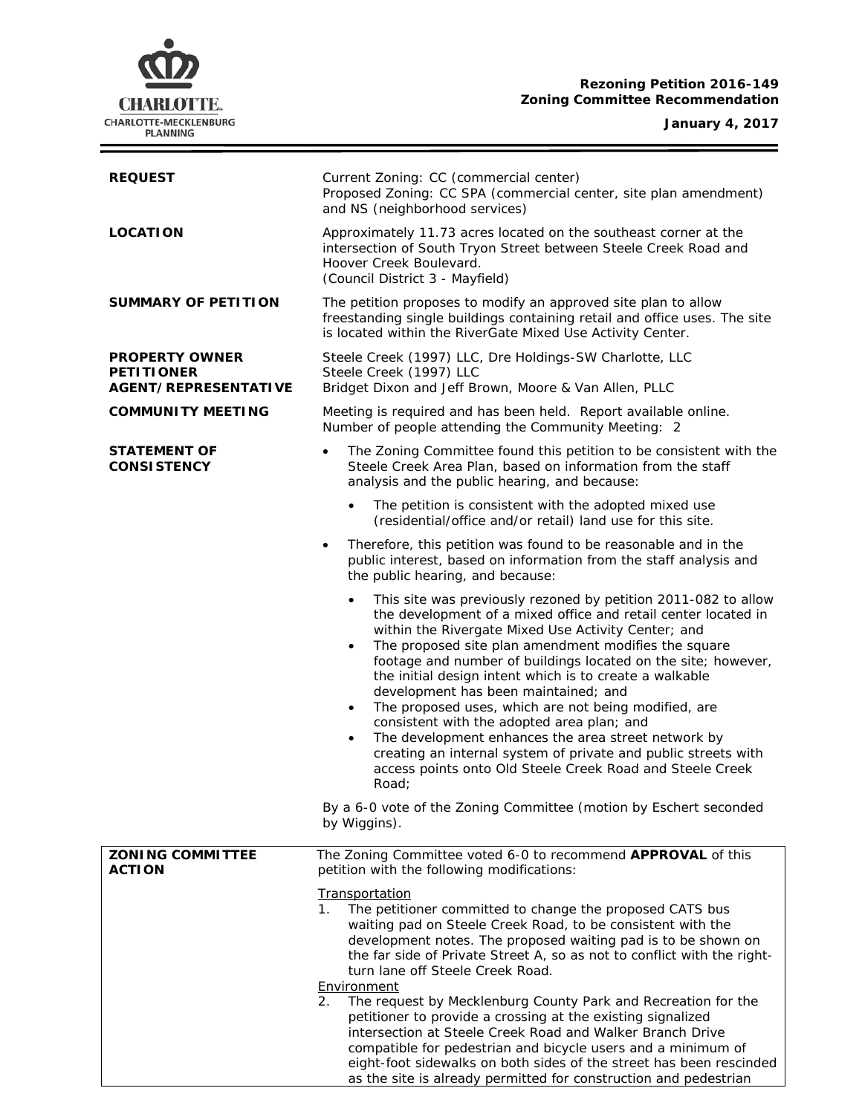# **Rezoning Petition 2016-149 Zoning Committee Recommendation**

### **January 4, 2017**



| <b>REQUEST</b>                                                            | Current Zoning: CC (commercial center)<br>Proposed Zoning: CC SPA (commercial center, site plan amendment)<br>and NS (neighborhood services)                                                                                                                                                                                                                                                                                                                                                                                                                                                                                                                                                                                                                                 |  |  |
|---------------------------------------------------------------------------|------------------------------------------------------------------------------------------------------------------------------------------------------------------------------------------------------------------------------------------------------------------------------------------------------------------------------------------------------------------------------------------------------------------------------------------------------------------------------------------------------------------------------------------------------------------------------------------------------------------------------------------------------------------------------------------------------------------------------------------------------------------------------|--|--|
| <b>LOCATION</b>                                                           | Approximately 11.73 acres located on the southeast corner at the<br>intersection of South Tryon Street between Steele Creek Road and<br>Hoover Creek Boulevard.<br>(Council District 3 - Mayfield)                                                                                                                                                                                                                                                                                                                                                                                                                                                                                                                                                                           |  |  |
| <b>SUMMARY OF PETITION</b>                                                | The petition proposes to modify an approved site plan to allow<br>freestanding single buildings containing retail and office uses. The site<br>is located within the RiverGate Mixed Use Activity Center.                                                                                                                                                                                                                                                                                                                                                                                                                                                                                                                                                                    |  |  |
| <b>PROPERTY OWNER</b><br><b>PETITIONER</b><br><b>AGENT/REPRESENTATIVE</b> | Steele Creek (1997) LLC, Dre Holdings-SW Charlotte, LLC<br>Steele Creek (1997) LLC<br>Bridget Dixon and Jeff Brown, Moore & Van Allen, PLLC                                                                                                                                                                                                                                                                                                                                                                                                                                                                                                                                                                                                                                  |  |  |
| <b>COMMUNITY MEETING</b>                                                  | Meeting is required and has been held. Report available online.<br>Number of people attending the Community Meeting: 2                                                                                                                                                                                                                                                                                                                                                                                                                                                                                                                                                                                                                                                       |  |  |
| <b>STATEMENT OF</b><br><b>CONSISTENCY</b>                                 | The Zoning Committee found this petition to be consistent with the<br>$\bullet$<br>Steele Creek Area Plan, based on information from the staff<br>analysis and the public hearing, and because:                                                                                                                                                                                                                                                                                                                                                                                                                                                                                                                                                                              |  |  |
|                                                                           | The petition is consistent with the adopted mixed use<br>$\bullet$<br>(residential/office and/or retail) land use for this site.                                                                                                                                                                                                                                                                                                                                                                                                                                                                                                                                                                                                                                             |  |  |
|                                                                           | Therefore, this petition was found to be reasonable and in the<br>$\bullet$<br>public interest, based on information from the staff analysis and<br>the public hearing, and because:                                                                                                                                                                                                                                                                                                                                                                                                                                                                                                                                                                                         |  |  |
|                                                                           | This site was previously rezoned by petition 2011-082 to allow<br>$\bullet$<br>the development of a mixed office and retail center located in<br>within the Rivergate Mixed Use Activity Center; and<br>The proposed site plan amendment modifies the square<br>$\bullet$<br>footage and number of buildings located on the site; however,<br>the initial design intent which is to create a walkable<br>development has been maintained; and<br>The proposed uses, which are not being modified, are<br>$\bullet$<br>consistent with the adopted area plan; and<br>The development enhances the area street network by<br>$\bullet$<br>creating an internal system of private and public streets with<br>access points onto Old Steele Creek Road and Steele Creek<br>Road: |  |  |
|                                                                           | By a 6-0 vote of the Zoning Committee (motion by Eschert seconded<br>by Wiggins).                                                                                                                                                                                                                                                                                                                                                                                                                                                                                                                                                                                                                                                                                            |  |  |
| <b>ZONING COMMITTEE</b><br><b>ACTION</b>                                  | The Zoning Committee voted 6-0 to recommend APPROVAL of this<br>petition with the following modifications:                                                                                                                                                                                                                                                                                                                                                                                                                                                                                                                                                                                                                                                                   |  |  |
|                                                                           | Transportation<br>The petitioner committed to change the proposed CATS bus<br>1.<br>waiting pad on Steele Creek Road, to be consistent with the<br>development notes. The proposed waiting pad is to be shown on<br>the far side of Private Street A, so as not to conflict with the right-<br>turn lane off Steele Creek Road.<br>Environment<br>The request by Mecklenburg County Park and Recreation for the<br>2.                                                                                                                                                                                                                                                                                                                                                        |  |  |
|                                                                           | petitioner to provide a crossing at the existing signalized<br>intersection at Steele Creek Road and Walker Branch Drive<br>compatible for pedestrian and bicycle users and a minimum of<br>eight-foot sidewalks on both sides of the street has been rescinded                                                                                                                                                                                                                                                                                                                                                                                                                                                                                                              |  |  |

as the site is already permitted for construction and pedestrian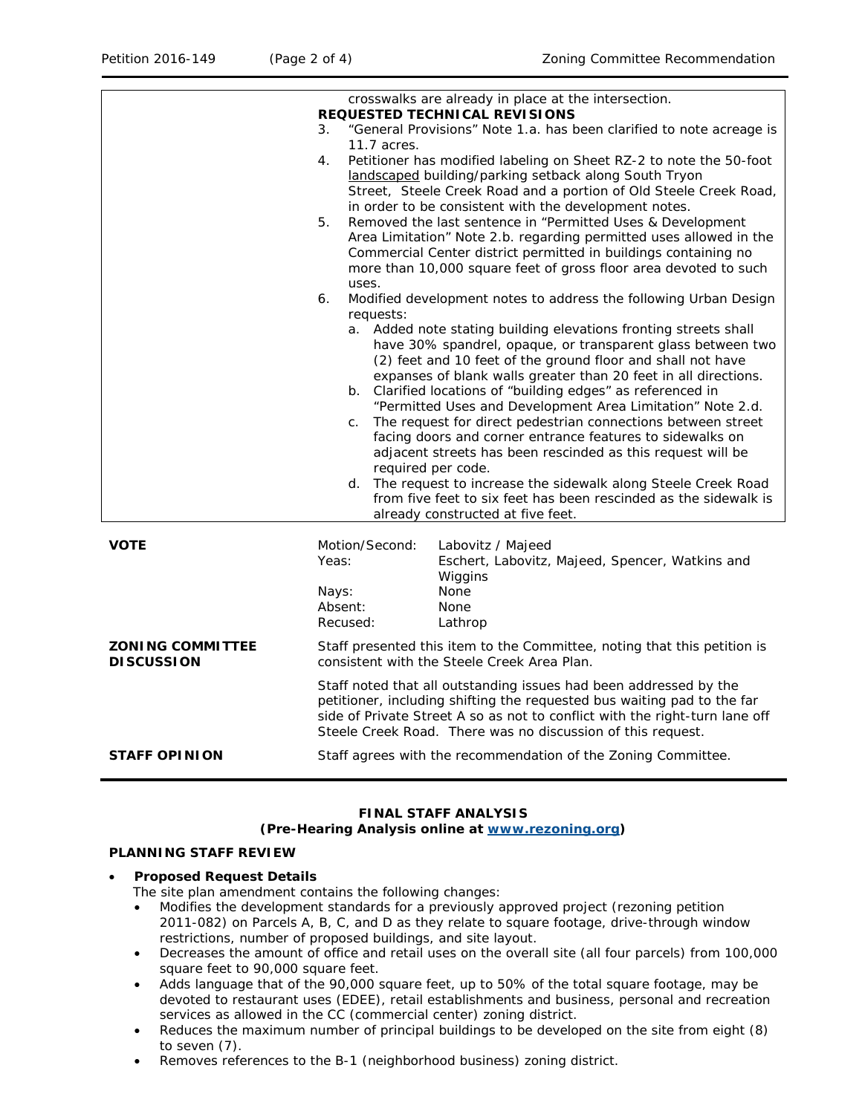|                                              | crosswalks are already in place at the intersection.<br><b>REQUESTED TECHNICAL REVISIONS</b><br>"General Provisions" Note 1.a. has been clarified to note acreage is<br>3.                                                                                                                 |                                                                                                                                                                                                                                                                                                                                                                                                                                                                                                                                                                                                                                                                                                                                                                                           |  |
|----------------------------------------------|--------------------------------------------------------------------------------------------------------------------------------------------------------------------------------------------------------------------------------------------------------------------------------------------|-------------------------------------------------------------------------------------------------------------------------------------------------------------------------------------------------------------------------------------------------------------------------------------------------------------------------------------------------------------------------------------------------------------------------------------------------------------------------------------------------------------------------------------------------------------------------------------------------------------------------------------------------------------------------------------------------------------------------------------------------------------------------------------------|--|
|                                              | 11.7 acres.<br>4.                                                                                                                                                                                                                                                                          | Petitioner has modified labeling on Sheet RZ-2 to note the 50-foot<br>landscaped building/parking setback along South Tryon<br>Street, Steele Creek Road and a portion of Old Steele Creek Road,<br>in order to be consistent with the development notes.                                                                                                                                                                                                                                                                                                                                                                                                                                                                                                                                 |  |
|                                              | 5.<br>uses.                                                                                                                                                                                                                                                                                | Removed the last sentence in "Permitted Uses & Development<br>Area Limitation" Note 2.b. regarding permitted uses allowed in the<br>Commercial Center district permitted in buildings containing no<br>more than 10,000 square feet of gross floor area devoted to such                                                                                                                                                                                                                                                                                                                                                                                                                                                                                                                   |  |
|                                              | 6.                                                                                                                                                                                                                                                                                         | Modified development notes to address the following Urban Design                                                                                                                                                                                                                                                                                                                                                                                                                                                                                                                                                                                                                                                                                                                          |  |
|                                              | requests:<br>$\mathsf{C}$ .<br>d.                                                                                                                                                                                                                                                          | a. Added note stating building elevations fronting streets shall<br>have 30% spandrel, opaque, or transparent glass between two<br>(2) feet and 10 feet of the ground floor and shall not have<br>expanses of blank walls greater than 20 feet in all directions.<br>b. Clarified locations of "building edges" as referenced in<br>"Permitted Uses and Development Area Limitation" Note 2.d.<br>The request for direct pedestrian connections between street<br>facing doors and corner entrance features to sidewalks on<br>adjacent streets has been rescinded as this request will be<br>required per code.<br>The request to increase the sidewalk along Steele Creek Road<br>from five feet to six feet has been rescinded as the sidewalk is<br>already constructed at five feet. |  |
| <b>VOTE</b>                                  | Motion/Second:<br>Yeas:                                                                                                                                                                                                                                                                    | Labovitz / Majeed<br>Eschert, Labovitz, Majeed, Spencer, Watkins and<br>Wiggins                                                                                                                                                                                                                                                                                                                                                                                                                                                                                                                                                                                                                                                                                                           |  |
|                                              | Nays:<br>Absent:<br>Recused:                                                                                                                                                                                                                                                               | None<br>None<br>Lathrop                                                                                                                                                                                                                                                                                                                                                                                                                                                                                                                                                                                                                                                                                                                                                                   |  |
| <b>ZONING COMMITTEE</b><br><b>DISCUSSION</b> | Staff presented this item to the Committee, noting that this petition is<br>consistent with the Steele Creek Area Plan.                                                                                                                                                                    |                                                                                                                                                                                                                                                                                                                                                                                                                                                                                                                                                                                                                                                                                                                                                                                           |  |
|                                              | Staff noted that all outstanding issues had been addressed by the<br>petitioner, including shifting the requested bus waiting pad to the far<br>side of Private Street A so as not to conflict with the right-turn lane off<br>Steele Creek Road. There was no discussion of this request. |                                                                                                                                                                                                                                                                                                                                                                                                                                                                                                                                                                                                                                                                                                                                                                                           |  |
| <b>STAFF OPINION</b>                         | Staff agrees with the recommendation of the Zoning Committee.                                                                                                                                                                                                                              |                                                                                                                                                                                                                                                                                                                                                                                                                                                                                                                                                                                                                                                                                                                                                                                           |  |

# **FINAL STAFF ANALYSIS**

# **(Pre-Hearing Analysis online at [www.rezoning.org\)](http://www.rezoning.org/)**

### **PLANNING STAFF REVIEW**

### • **Proposed Request Details**

The site plan amendment contains the following changes:

- Modifies the development standards for a previously approved project (rezoning petition 2011-082) on Parcels A, B, C, and D as they relate to square footage, drive-through window restrictions, number of proposed buildings, and site layout.
- Decreases the amount of office and retail uses on the overall site (all four parcels) from 100,000 square feet to 90,000 square feet.
- Adds language that of the 90,000 square feet, up to 50% of the total square footage, may be devoted to restaurant uses (EDEE), retail establishments and business, personal and recreation services as allowed in the CC (commercial center) zoning district.
- Reduces the maximum number of principal buildings to be developed on the site from eight (8) to seven (7).
- Removes references to the B-1 (neighborhood business) zoning district.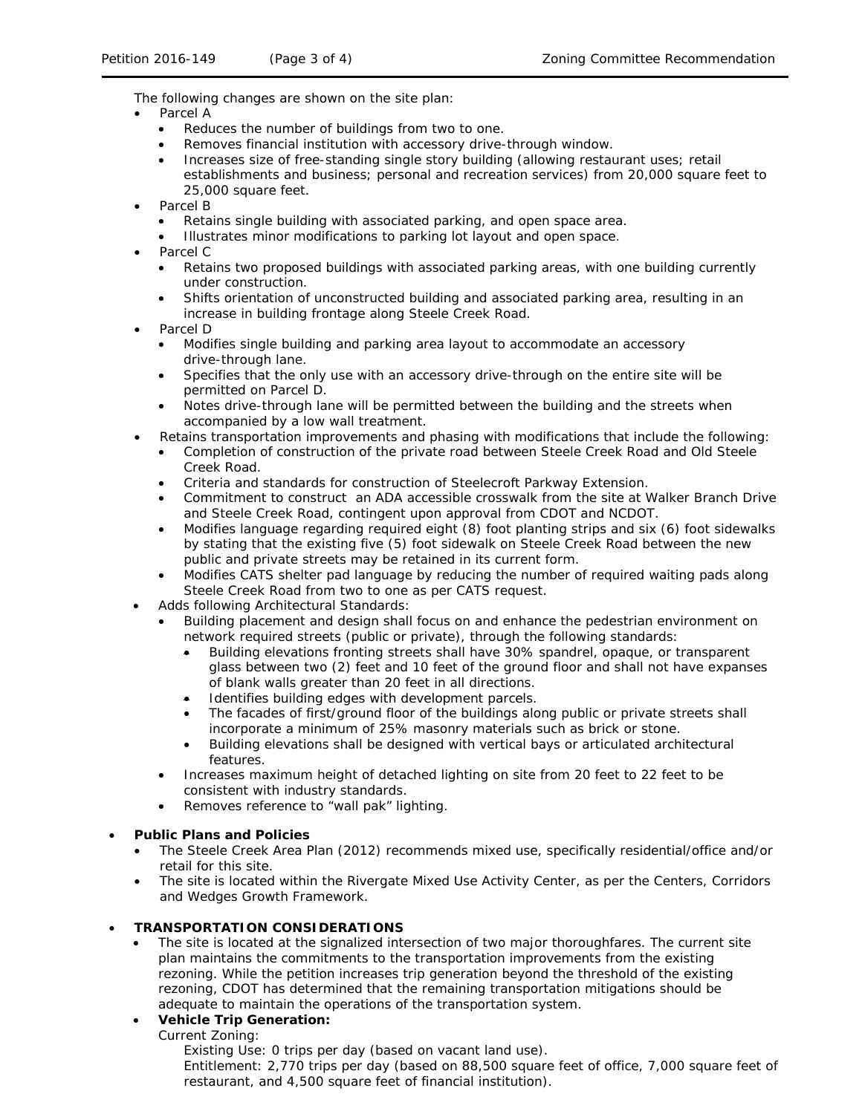The following changes are shown on the site plan:

- Parcel A
	- Reduces the number of buildings from two to one.
	- Removes financial institution with accessory drive-through window.
	- Increases size of free-standing single story building (allowing restaurant uses; retail establishments and business; personal and recreation services) from 20,000 square feet to 25,000 square feet.
- Parcel B
	- Retains single building with associated parking, and open space area.
	- Illustrates minor modifications to parking lot layout and open space.
- Parcel C
	- Retains two proposed buildings with associated parking areas, with one building currently under construction.
	- Shifts orientation of unconstructed building and associated parking area, resulting in an increase in building frontage along Steele Creek Road.
- Parcel D
	- Modifies single building and parking area layout to accommodate an accessory drive-through lane.
	- Specifies that the only use with an accessory drive-through on the entire site will be permitted on Parcel D.
	- Notes drive-through lane will be permitted between the building and the streets when accompanied by a low wall treatment.
- Retains transportation improvements and phasing with modifications that include the following:
	- Completion of construction of the private road between Steele Creek Road and Old Steele Creek Road.
	- Criteria and standards for construction of Steelecroft Parkway Extension.
	- Commitment to construct an ADA accessible crosswalk from the site at Walker Branch Drive and Steele Creek Road, contingent upon approval from CDOT and NCDOT.
	- Modifies language regarding required eight (8) foot planting strips and six (6) foot sidewalks by stating that the existing five (5) foot sidewalk on Steele Creek Road between the new public and private streets may be retained in its current form.
	- Modifies CATS shelter pad language by reducing the number of required waiting pads along Steele Creek Road from two to one as per CATS request.
- Adds following Architectural Standards:
	- Building placement and design shall focus on and enhance the pedestrian environment on network required streets (public or private), through the following standards:
		- Building elevations fronting streets shall have 30% spandrel, opaque, or transparent glass between two (2) feet and 10 feet of the ground floor and shall not have expanses of blank walls greater than 20 feet in all directions.
		- Identifies building edges with development parcels.
		- The facades of first/ground floor of the buildings along public or private streets shall incorporate a minimum of 25% masonry materials such as brick or stone.
		- Building elevations shall be designed with vertical bays or articulated architectural features.
	- Increases maximum height of detached lighting on site from 20 feet to 22 feet to be consistent with industry standards.
	- Removes reference to "wall pak" lighting.

# • **Public Plans and Policies**

- The *Steele Creek Area Plan* (2012) recommends mixed use, specifically residential/office and/or retail for this site.
- The site is located within the Rivergate Mixed Use Activity Center, as per the *Centers, Corridors and Wedges Growth Framework*.

### • **TRANSPORTATION CONSIDERATIONS**

The site is located at the signalized intersection of two major thoroughfares. The current site plan maintains the commitments to the transportation improvements from the existing rezoning. While the petition increases trip generation beyond the threshold of the existing rezoning, CDOT has determined that the remaining transportation mitigations should be adequate to maintain the operations of the transportation system.

# • **Vehicle Trip Generation:**

Current Zoning:

Existing Use: 0 trips per day (based on vacant land use).

Entitlement: 2,770 trips per day (based on 88,500 square feet of office, 7,000 square feet of restaurant, and 4,500 square feet of financial institution).